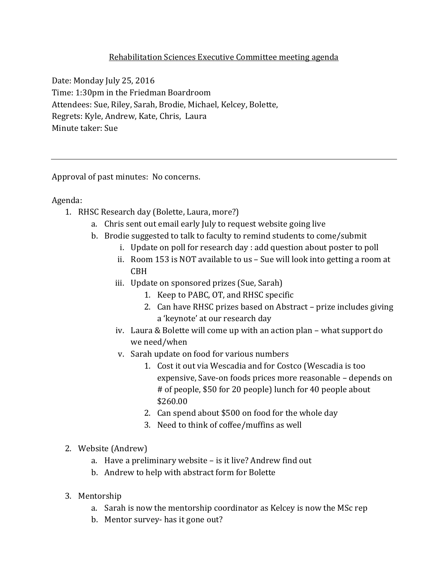## Rehabilitation Sciences Executive Committee meeting agenda

Date: Monday July 25, 2016 Time: 1:30pm in the Friedman Boardroom Attendees: Sue, Riley, Sarah, Brodie, Michael, Kelcey, Bolette, Regrets: Kyle, Andrew, Kate, Chris, Laura Minute taker: Sue

Approval of past minutes: No concerns.

Agenda:

- 1. RHSC Research day (Bolette, Laura, more?)
	- a. Chris sent out email early July to request website going live
	- b. Brodie suggested to talk to faculty to remind students to come/submit
		- i. Update on poll for research day : add question about poster to poll
		- ii. Room 153 is NOT available to us Sue will look into getting a room at CBH
		- iii. Update on sponsored prizes (Sue, Sarah)
			- 1. Keep to PABC, OT, and RHSC specific
			- 2. Can have RHSC prizes based on Abstract prize includes giving a 'keynote' at our research day
		- iv. Laura & Bolette will come up with an action plan what support do we need/when
		- v. Sarah update on food for various numbers
			- 1. Cost it out via Wescadia and for Costco (Wescadia is too expensive, Save-on foods prices more reasonable – depends on # of people, \$50 for 20 people) lunch for 40 people about \$260.00
			- 2. Can spend about \$500 on food for the whole day
			- 3. Need to think of coffee/muffins as well

## 2. Website (Andrew)

- a. Have a preliminary website is it live? Andrew find out
- b. Andrew to help with abstract form for Bolette
- 3. Mentorship
	- a. Sarah is now the mentorship coordinator as Kelcey is now the MSc rep
	- b. Mentor survey- has it gone out?